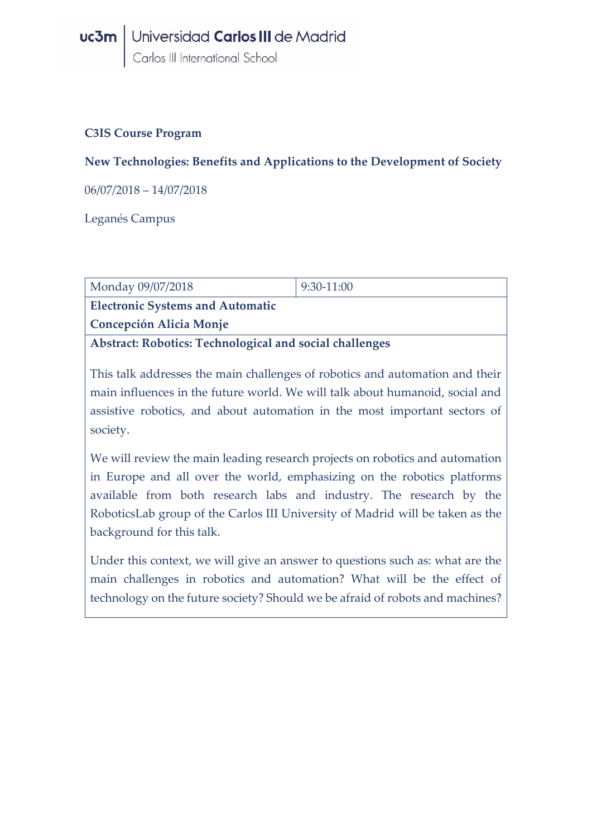### **C3IS Course Program**

### **New Technologies: Benefits and Applications to the Development of Society**

06/07/2018 – 14/07/2018

Leganés Campus

| Monday 09/07/2018                                       | $9:30-11:00$ |  |
|---------------------------------------------------------|--------------|--|
| <b>Electronic Systems and Automatic</b>                 |              |  |
| <b>Concepción Alicia Monje</b>                          |              |  |
| Abstract: Robotics: Technological and social challenges |              |  |

This talk addresses the main challenges of robotics and automation and their main influences in the future world. We will talk about humanoid, social and assistive robotics, and about automation in the most important sectors of society.

We will review the main leading research projects on robotics and automation in Europe and all over the world, emphasizing on the robotics platforms available from both research labs and industry. The research by the RoboticsLab group of the Carlos III University of Madrid will be taken as the background for this talk.

Under this context, we will give an answer to questions such as: what are the main challenges in robotics and automation? What will be the effect of technology on the future society? Should we be afraid of robots and machines?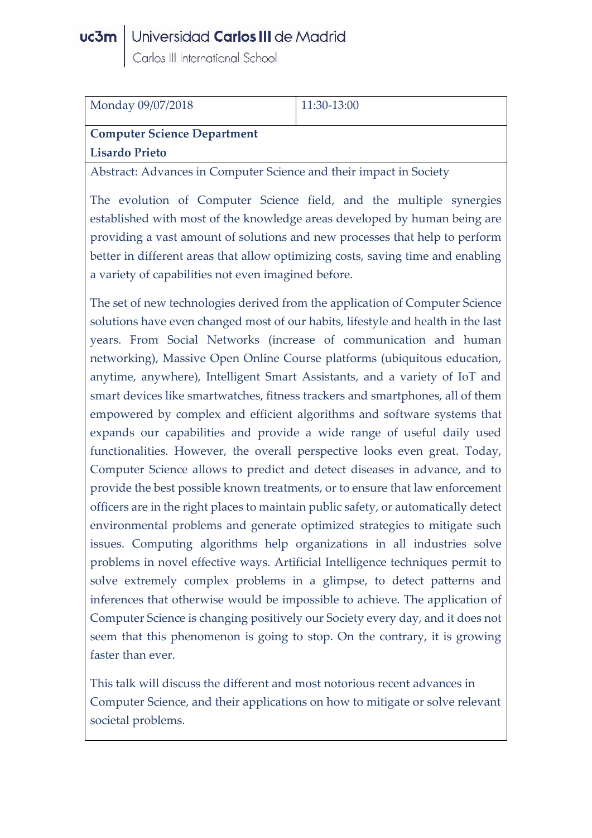# **uc3m** Universidad Carlos III de Madrid<br>Carlos III International School

| Monday 09/07/2018                  | $11:30-13:00$ |
|------------------------------------|---------------|
| <b>Computer Science Department</b> |               |
| <b>Lisardo Prieto</b>              |               |
|                                    |               |

Abstract: Advances in Computer Science and their impact in Society

The evolution of Computer Science field, and the multiple synergies established with most of the knowledge areas developed by human being are providing a vast amount of solutions and new processes that help to perform better in different areas that allow optimizing costs, saving time and enabling a variety of capabilities not even imagined before.

The set of new technologies derived from the application of Computer Science solutions have even changed most of our habits, lifestyle and health in the last years. From Social Networks (increase of communication and human networking), Massive Open Online Course platforms (ubiquitous education, anytime, anywhere), Intelligent Smart Assistants, and a variety of IoT and smart devices like smartwatches, fitness trackers and smartphones, all of them empowered by complex and efficient algorithms and software systems that expands our capabilities and provide a wide range of useful daily used functionalities. However, the overall perspective looks even great. Today, Computer Science allows to predict and detect diseases in advance, and to provide the best possible known treatments, or to ensure that law enforcement officers are in the right places to maintain public safety, or automatically detect environmental problems and generate optimized strategies to mitigate such issues. Computing algorithms help organizations in all industries solve problems in novel effective ways. Artificial Intelligence techniques permit to solve extremely complex problems in a glimpse, to detect patterns and inferences that otherwise would be impossible to achieve. The application of Computer Science is changing positively our Society every day, and it does not seem that this phenomenon is going to stop. On the contrary, it is growing faster than ever.

This talk will discuss the different and most notorious recent advances in Computer Science, and their applications on how to mitigate or solve relevant societal problems.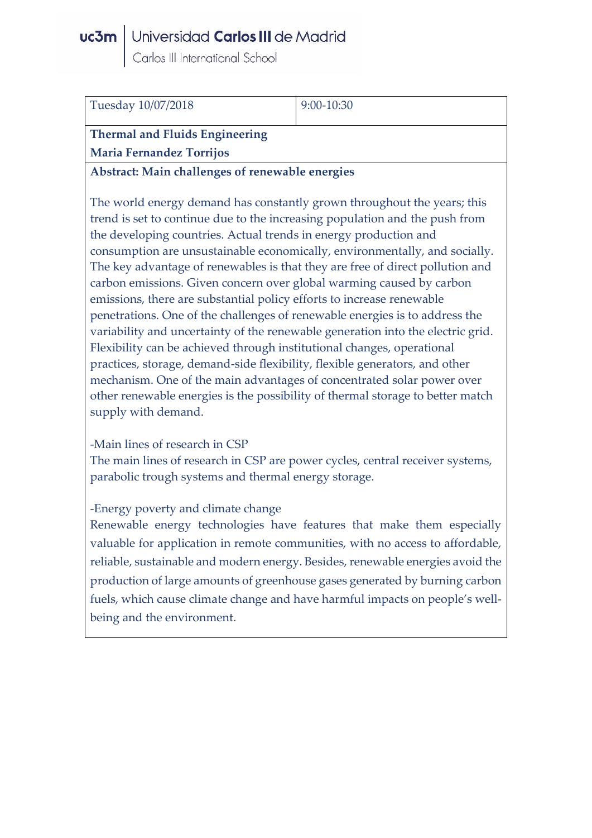# **uc3m** Universidad Carlos III de Madrid<br>Carlos III International School

| Tuesday 10/07/2018              | $9:00-10:30$ |
|---------------------------------|--------------|
| Thermal and Fluids Engineering  |              |
| <b>Maria Fernandez Torrijos</b> |              |
|                                 |              |

**Abstract: Main challenges of renewable energies**

The world energy demand has constantly grown throughout the years; this trend is set to continue due to the increasing population and the push from the developing countries. Actual trends in energy production and consumption are unsustainable economically, environmentally, and socially. The key advantage of renewables is that they are free of direct pollution and carbon emissions. Given concern over global warming caused by carbon emissions, there are substantial policy efforts to increase renewable penetrations. One of the challenges of renewable energies is to address the variability and uncertainty of the renewable generation into the electric grid. Flexibility can be achieved through institutional changes, operational practices, storage, demand-side flexibility, flexible generators, and other mechanism. One of the main advantages of concentrated solar power over other renewable energies is the possibility of thermal storage to better match supply with demand.

-Main lines of research in CSP

The main lines of research in CSP are power cycles, central receiver systems, parabolic trough systems and thermal energy storage.

#### -Energy poverty and climate change

Renewable energy technologies have features that make them especially valuable for application in remote communities, with no access to affordable, reliable, sustainable and modern energy. Besides, renewable energies avoid the production of large amounts of greenhouse gases generated by burning carbon fuels, which cause climate change and have harmful impacts on people's wellbeing and the environment.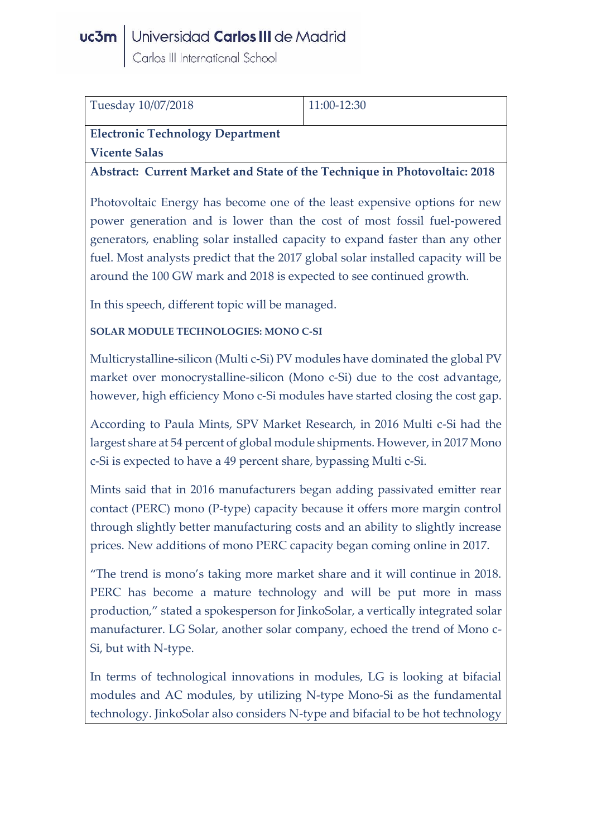### uc3m | Universidad Carlos III de Madrid

Carlos III International School

| Tuesday 10/07/2018                                                                                                                                                                                                                                                                                                                        | 11:00-12:30                                                               |  |  |
|-------------------------------------------------------------------------------------------------------------------------------------------------------------------------------------------------------------------------------------------------------------------------------------------------------------------------------------------|---------------------------------------------------------------------------|--|--|
| <b>Electronic Technology Department</b>                                                                                                                                                                                                                                                                                                   |                                                                           |  |  |
| <b>Vicente Salas</b>                                                                                                                                                                                                                                                                                                                      |                                                                           |  |  |
|                                                                                                                                                                                                                                                                                                                                           | Abstract: Current Market and State of the Technique in Photovoltaic: 2018 |  |  |
| Photovoltaic Energy has become one of the least expensive options for new                                                                                                                                                                                                                                                                 |                                                                           |  |  |
| power generation and is lower than the cost of most fossil fuel-powered                                                                                                                                                                                                                                                                   |                                                                           |  |  |
| generators, enabling solar installed capacity to expand faster than any other                                                                                                                                                                                                                                                             |                                                                           |  |  |
| fuel. Most analysts predict that the 2017 global solar installed capacity will be                                                                                                                                                                                                                                                         |                                                                           |  |  |
| around the 100 GW mark and 2018 is expected to see continued growth.                                                                                                                                                                                                                                                                      |                                                                           |  |  |
| In this speech, different topic will be managed.                                                                                                                                                                                                                                                                                          |                                                                           |  |  |
| <b>SOLAR MODULE TECHNOLOGIES: MONO C-SI</b>                                                                                                                                                                                                                                                                                               |                                                                           |  |  |
| Multicrystalline-silicon (Multi c-Si) PV modules have dominated the global PV<br>market over monocrystalline-silicon (Mono c-Si) due to the cost advantage,<br>however, high efficiency Mono c-Si modules have started closing the cost gap.                                                                                              |                                                                           |  |  |
| According to Paula Mints, SPV Market Research, in 2016 Multi c-Si had the<br>largest share at 54 percent of global module shipments. However, in 2017 Mono<br>c-Si is expected to have a 49 percent share, bypassing Multi c-Si.                                                                                                          |                                                                           |  |  |
| Mints said that in 2016 manufacturers began adding passivated emitter rear<br>contact (PERC) mono (P-type) capacity because it offers more margin control<br>through slightly better manufacturing costs and an ability to slightly increase<br>prices. New additions of mono PERC capacity began coming online in 2017.                  |                                                                           |  |  |
| "The trend is mono's taking more market share and it will continue in 2018.<br>PERC has become a mature technology and will be put more in mass<br>production," stated a spokesperson for JinkoSolar, a vertically integrated solar<br>manufacturer. LG Solar, another solar company, echoed the trend of Mono c-<br>Si, but with N-type. |                                                                           |  |  |
| In terms of technological innovations in modules, LG is looking at bifacial<br>modules and AC modules, by utilizing N-type Mono-Si as the fundamental<br>technology. JinkoSolar also considers N-type and bifacial to be hot technology                                                                                                   |                                                                           |  |  |
|                                                                                                                                                                                                                                                                                                                                           |                                                                           |  |  |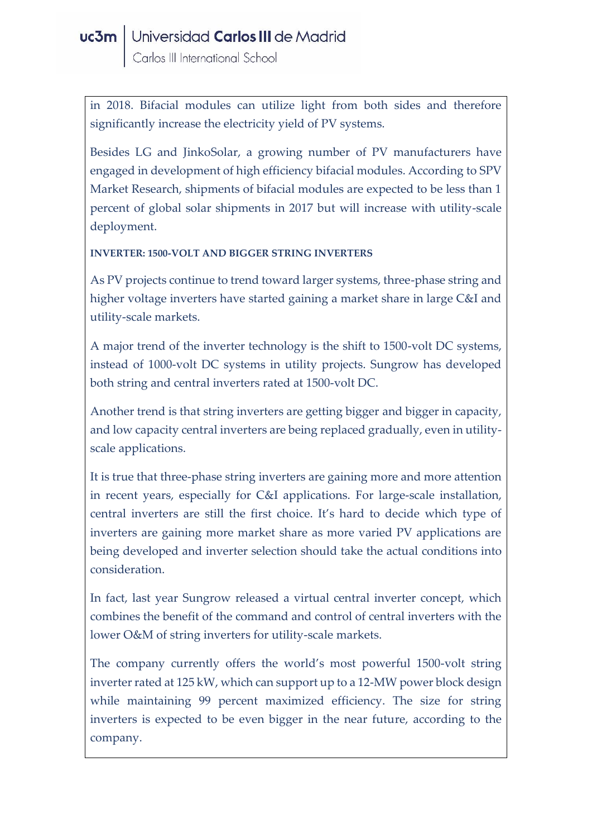in 2018. Bifacial modules can utilize light from both sides and therefore significantly increase the electricity yield of PV systems.

Besides LG and JinkoSolar, a growing number of PV manufacturers have engaged in development of high efficiency bifacial modules. According to SPV Market Research, shipments of bifacial modules are expected to be less than 1 percent of global solar shipments in 2017 but will increase with utility-scale deployment.

#### **INVERTER: 1500-VOLT AND BIGGER STRING INVERTERS**

As PV projects continue to trend toward larger systems, three-phase string and higher voltage inverters have started gaining a market share in large C&I and utility-scale markets.

A major trend of the inverter technology is the shift to 1500-volt DC systems, instead of 1000-volt DC systems in utility projects. Sungrow has developed both string and central inverters rated at 1500-volt DC.

Another trend is that string inverters are getting bigger and bigger in capacity, and low capacity central inverters are being replaced gradually, even in utilityscale applications.

It is true that three-phase string inverters are gaining more and more attention in recent years, especially for C&I applications. For large-scale installation, central inverters are still the first choice. It's hard to decide which type of inverters are gaining more market share as more varied PV applications are being developed and inverter selection should take the actual conditions into consideration.

In fact, last year Sungrow released a virtual central inverter concept, which combines the benefit of the command and control of central inverters with the lower O&M of string inverters for utility-scale markets.

The company currently offers the world's most powerful 1500-volt string inverter rated at 125 kW, which can support up to a 12-MW power block design while maintaining 99 percent maximized efficiency. The size for string inverters is expected to be even bigger in the near future, according to the company.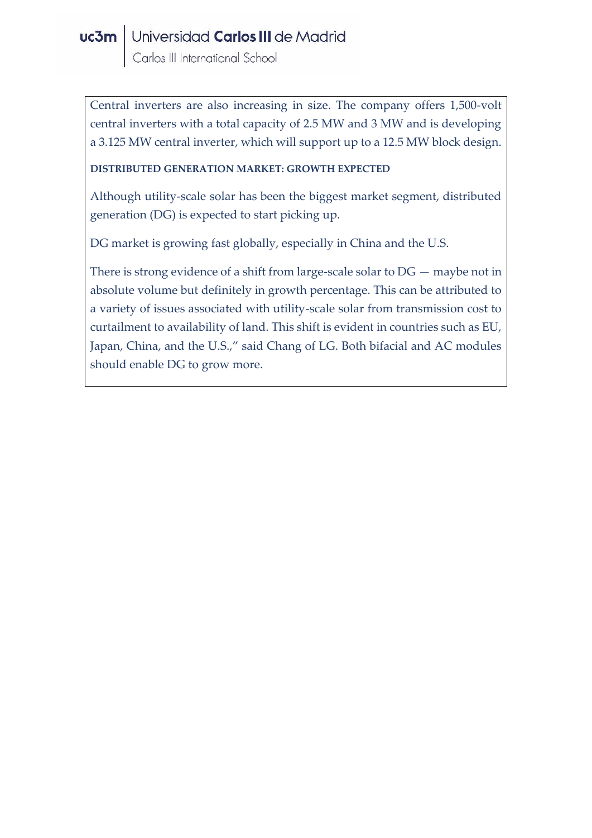Central inverters are also increasing in size. The company offers 1,500-volt central inverters with a total capacity of 2.5 MW and 3 MW and is developing a 3.125 MW central inverter, which will support up to a 12.5 MW block design.

#### **DISTRIBUTED GENERATION MARKET: GROWTH EXPECTED**

Although utility-scale solar has been the biggest market segment, distributed generation (DG) is expected to start picking up.

DG market is growing fast globally, especially in China and the U.S.

There is strong evidence of a shift from large-scale solar to DG — maybe not in absolute volume but definitely in growth percentage. This can be attributed to a variety of issues associated with utility-scale solar from transmission cost to curtailment to availability of land. This shift is evident in countries such as EU, Japan, China, and the U.S.," said Chang of LG. Both bifacial and AC modules should enable DG to grow more.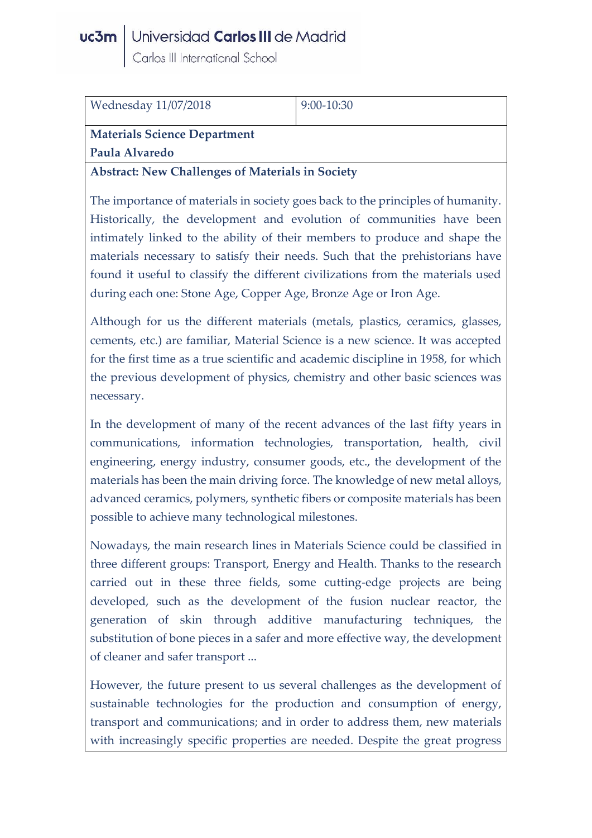# **uc3m** Universidad Carlos III de Madrid<br>Carlos III International School

| <b>Wednesday 11/07/2018</b>                             | $9:00-10:30$ |  |
|---------------------------------------------------------|--------------|--|
| <b>Materials Science Department</b>                     |              |  |
| Paula Alvaredo                                          |              |  |
| <b>Abstract: New Challenges of Materials in Society</b> |              |  |

The importance of materials in society goes back to the principles of humanity. Historically, the development and evolution of communities have been intimately linked to the ability of their members to produce and shape the materials necessary to satisfy their needs. Such that the prehistorians have found it useful to classify the different civilizations from the materials used during each one: Stone Age, Copper Age, Bronze Age or Iron Age.

Although for us the different materials (metals, plastics, ceramics, glasses, cements, etc.) are familiar, Material Science is a new science. It was accepted for the first time as a true scientific and academic discipline in 1958, for which the previous development of physics, chemistry and other basic sciences was necessary.

In the development of many of the recent advances of the last fifty years in communications, information technologies, transportation, health, civil engineering, energy industry, consumer goods, etc., the development of the materials has been the main driving force. The knowledge of new metal alloys, advanced ceramics, polymers, synthetic fibers or composite materials has been possible to achieve many technological milestones.

Nowadays, the main research lines in Materials Science could be classified in three different groups: Transport, Energy and Health. Thanks to the research carried out in these three fields, some cutting-edge projects are being developed, such as the development of the fusion nuclear reactor, the generation of skin through additive manufacturing techniques, the substitution of bone pieces in a safer and more effective way, the development of cleaner and safer transport ...

However, the future present to us several challenges as the development of sustainable technologies for the production and consumption of energy, transport and communications; and in order to address them, new materials with increasingly specific properties are needed. Despite the great progress